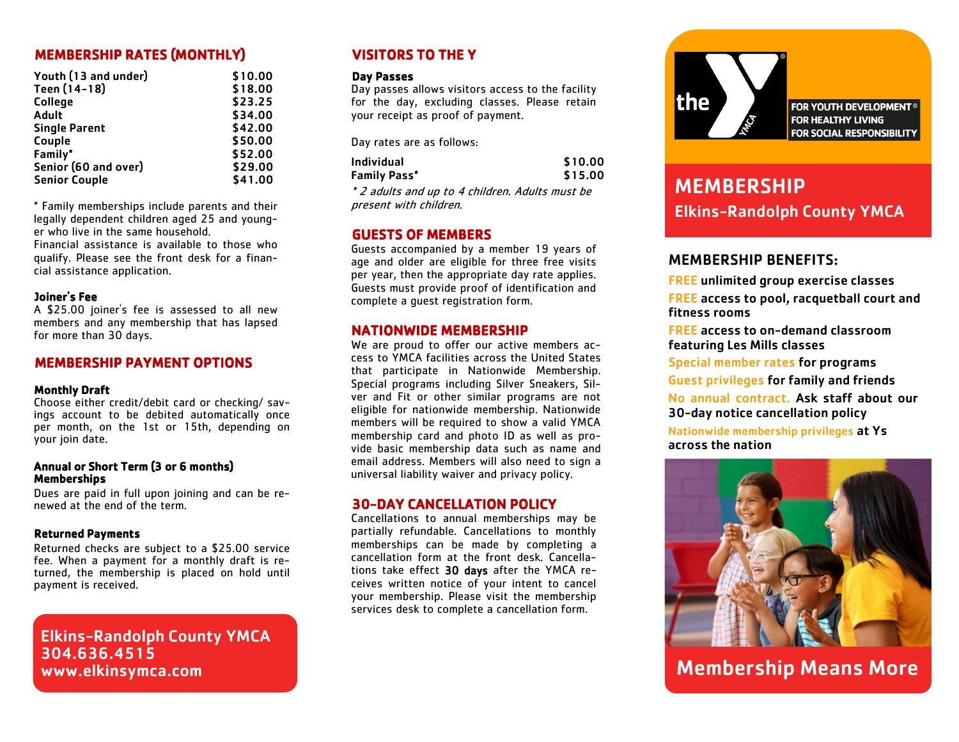# MEMBERSHIP RATES (MONTHLY)

| Youth (13 and under) | \$10.00 |
|----------------------|---------|
| Teen (14-18)         | \$18.00 |
| College              | \$23.25 |
| Adult                | \$34.00 |
| <b>Single Parent</b> | \$42.00 |
| Couple               | \$50.00 |
| Family*              | \$52.00 |
| Senior (60 and over) | \$29.00 |
| <b>Senior Couple</b> | \$41.00 |
|                      |         |

\* Family memberships include parents and their legally dependent children aged 25 and younger who live in the same household.

Financial assistance is available to those who qualify. Please see the front desk for a financial assistance application.

#### Joiner's Fee

A \$25.00 joiner's fee is assessed to all new members and any membership that has lapsed for more than 30 days.

### MEMBERSHIP PAYMENT OPTIONS

#### Monthly Draft

Choose either credit/debit card or checking/ savings account to be debited automatically once per month, on the 1st or 15th, depending on your join date.

#### Annual or Short Term (3 or 6 months) **Memberships**

Dues are paid in full upon joining and can be renewed at the end of the term.

#### Returned Payments

Returned checks are subject to a \$25.00 service fee. When a payment for a monthly draft is returned, the membership is placed on hold until payment is received.

Elkins-Randolph County YMCA 304.636.4515 www.elkinsymca.com

# VISITORS TO THE Y

#### Day Passes

Day passes allows visitors access to the facility for the day, excluding classes. Please retain your receipt as proof of payment.

Day rates are as follows:

| Individual   | \$10.00 |
|--------------|---------|
| Family Pass* | \$15.00 |

\* 2 adults and up to 4 children. Adults must be present with children.

## GUESTS OF MEMBERS

Guests accompanied by a member 19 years of age and older are eligible for three free visits per year, then the appropriate day rate applies. Guests must provide proof of identification and complete a guest registration form.

### NATIONWIDE MEMBERSHIP

We are proud to offer our active members access to YMCA facilities across the United States that participate in Nationwide Membership. Special programs including Silver Sneakers, Silver and Fit or other similar programs are not eligible for nationwide membership. Nationwide members will be required to show a valid YMCA membership card and photo ID as well as provide basic membership data such as name and email address. Members will also need to sign a universal liability waiver and privacy policy.

### 30-DAY CANCELLATION POLICY

Cancellations to annual memberships may be partially refundable. Cancellations to monthly memberships can be made by completing a cancellation form at the front desk. Cancellations take effect 30 days after the YMCA receives written notice of your intent to cancel your membership. Please visit the membership services desk to complete a cancellation form.



**FOR YOUTH DEVELOPMENT® FOR HEALTHY LIVING** FOR SOCIAL RESPONSIBILITY

# MEMBERSHIP Elkins-Randolph County YMCA

# MEMBERSHIP BENEFITS:

FREE unlimited group exercise classes FREE access to pool, racquetball court and fitness rooms

FREE access to on-demand classroom featuring Les Mills classes

Special member rates for programs Guest privileges for family and friends No annual contract. Ask staff about our 30-day notice cancellation policy

Nationwide membership privileges at Ys across the nation



Membership Means More